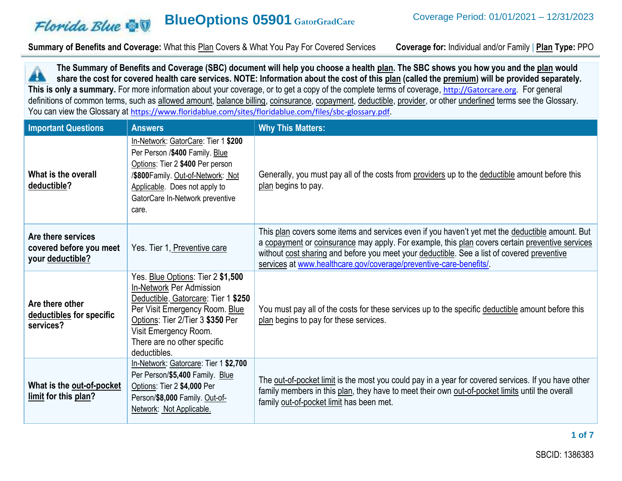#### **BlueOptions 05901 GatorGradCare** Florida Blue **& V**

**Summary of Benefits and Coverage:** What this Plan Covers & What You Pay For Covered Services **Coverage for:** Individual and/or Family | **Plan Type:** PPO

**The Summary of Benefits and Coverage (SBC) document will help you choose a health plan. The SBC shows you how you and the plan would** 44 **share the cost for covered health care services. NOTE: Information about the cost of this plan (called the premium) will be provided separately.** This is only a summary. For more information about your coverage, or to get a copy of the complete terms of coverage, [http://Gatorcare.org](http://gatorcare.org/). For general definitions of common terms, such as allowed amount, balance billing, coinsurance, copayment, deductible, provider, or other underlined terms see the Glossary. You can view the Glossary at [https://www.floridablue.com/sites/floridablue.com/files/sbc-glossary.pdf.](https://www.floridablue.com/sites/floridablue.com/files/sbc-glossary.pdf)

| <b>Important Questions</b>                                        | <b>Answers</b>                                                                                                                                                                                                                                     | <b>Why This Matters:</b>                                                                                                                                                                                                                                                                                                                                               |
|-------------------------------------------------------------------|----------------------------------------------------------------------------------------------------------------------------------------------------------------------------------------------------------------------------------------------------|------------------------------------------------------------------------------------------------------------------------------------------------------------------------------------------------------------------------------------------------------------------------------------------------------------------------------------------------------------------------|
| What is the overall<br>deductible?                                | In-Network: GatorCare: Tier 1 \$200<br>Per Person /\$400 Family. Blue<br>Options: Tier 2 \$400 Per person<br>/\$800Family. Out-of-Network: Not<br>Applicable. Does not apply to<br>GatorCare In-Network preventive<br>care.                        | Generally, you must pay all of the costs from providers up to the deductible amount before this<br>plan begins to pay                                                                                                                                                                                                                                                  |
| Are there services<br>covered before you meet<br>your deductible? | Yes. Tier 1, Preventive care                                                                                                                                                                                                                       | This plan covers some items and services even if you haven't yet met the deductible amount. But<br>a copayment or coinsurance may apply. For example, this plan covers certain preventive services<br>without cost sharing and before you meet your deductible. See a list of covered preventive<br>services at www.healthcare.gov/coverage/preventive-care-benefits/. |
| Are there other<br>deductibles for specific<br>services?          | Yes. Blue Options: Tier 2 \$1,500<br>In-Network Per Admission<br>Deductible. Gatorcare: Tier 1 \$250<br>Per Visit Emergency Room. Blue<br>Options: Tier 2/Tier 3 \$350 Per<br>Visit Emergency Room.<br>There are no other specific<br>deductibles. | You must pay all of the costs for these services up to the specific deductible amount before this<br>plan begins to pay for these services.                                                                                                                                                                                                                            |
| What is the out-of-pocket<br>limit for this plan?                 | In-Network: Gatorcare: Tier 1 \$2,700<br>Per Person/\$5,400 Family. Blue<br>Options: Tier 2 \$4,000 Per<br>Person/\$8,000 Family. Out-of-<br>Network: Not Applicable.                                                                              | The out-of-pocket limit is the most you could pay in a year for covered services. If you have other<br>family members in this plan, they have to meet their own out-of-pocket limits until the overall<br>family out-of-pocket limit has been met.                                                                                                                     |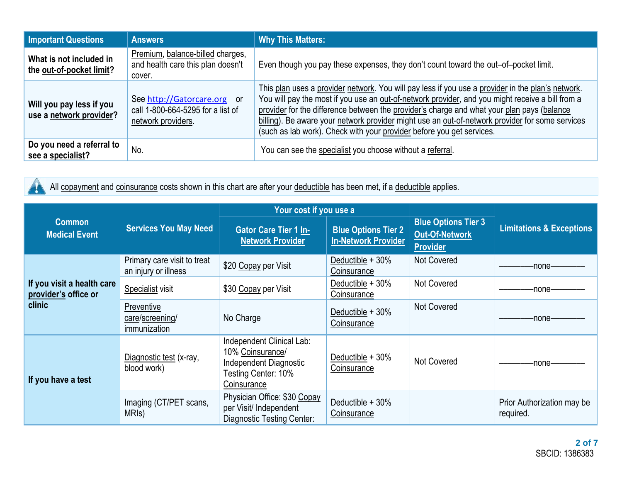| <b>Important Questions</b>                          | <b>Answers</b>                                                                         | <b>Why This Matters:</b>                                                                                                                                                                                                                                                                                                                                                                                                                                                        |
|-----------------------------------------------------|----------------------------------------------------------------------------------------|---------------------------------------------------------------------------------------------------------------------------------------------------------------------------------------------------------------------------------------------------------------------------------------------------------------------------------------------------------------------------------------------------------------------------------------------------------------------------------|
| What is not included in<br>the out-of-pocket limit? | Premium, balance-billed charges,<br>and health care this plan doesn't<br>cover.        | Even though you pay these expenses, they don't count toward the out-of-pocket limit.                                                                                                                                                                                                                                                                                                                                                                                            |
| Will you pay less if you<br>use a network provider? | See http://Gatorcare.org or<br>call 1-800-664-5295 for a list of<br>network providers. | This plan uses a provider network. You will pay less if you use a provider in the plan's network.<br>You will pay the most if you use an out-of-network provider, and you might receive a bill from a<br>provider for the difference between the provider's charge and what your plan pays (balance<br>billing). Be aware your network provider might use an out-of-network provider for some services<br>(such as lab work). Check with your provider before you get services. |
| Do you need a referral to<br>see a specialist?      | No.                                                                                    | You can see the specialist you choose without a referral.                                                                                                                                                                                                                                                                                                                                                                                                                       |



All copayment and coinsurance costs shown in this chart are after your deductible has been met, if a deductible applies.

|                                                              |                                                     | Your cost if you use a                                                                                        |                                                          |                                                                        |                                         |
|--------------------------------------------------------------|-----------------------------------------------------|---------------------------------------------------------------------------------------------------------------|----------------------------------------------------------|------------------------------------------------------------------------|-----------------------------------------|
| <b>Common</b><br><b>Medical Event</b>                        | <b>Services You May Need</b>                        | <b>Gator Care Tier 1 In-</b><br><b>Network Provider</b>                                                       | <b>Blue Options Tier 2</b><br><b>In-Network Provider</b> | <b>Blue Options Tier 3</b><br><b>Out-Of-Network</b><br><b>Provider</b> | <b>Limitations &amp; Exceptions</b>     |
|                                                              | Primary care visit to treat<br>an injury or illness | \$20 Copay per Visit                                                                                          | Deductible + 30%<br>Coinsurance                          | Not Covered                                                            | -none-                                  |
| If you visit a health care<br>provider's office or<br>clinic | Specialist visit                                    | \$30 Copay per Visit                                                                                          | Deductible + 30%<br>Coinsurance                          | Not Covered                                                            | -none-                                  |
|                                                              | Preventive<br>care/screening/<br>immunization       | No Charge                                                                                                     | Deductible + 30%<br>Coinsurance                          | Not Covered                                                            | -none-                                  |
| If you have a test                                           | Diagnostic test (x-ray,<br>blood work)              | Independent Clinical Lab:<br>10% Coinsurance/<br>Independent Diagnostic<br>Testing Center: 10%<br>Coinsurance | Deductible + 30%<br>Coinsurance                          | Not Covered                                                            | -none-                                  |
|                                                              | Imaging (CT/PET scans,<br>MRI <sub>s</sub> )        | Physician Office: \$30 Copay<br>per Visit/ Independent<br><b>Diagnostic Testing Center:</b>                   | Deductible + 30%<br>Coinsurance                          |                                                                        | Prior Authorization may be<br>required. |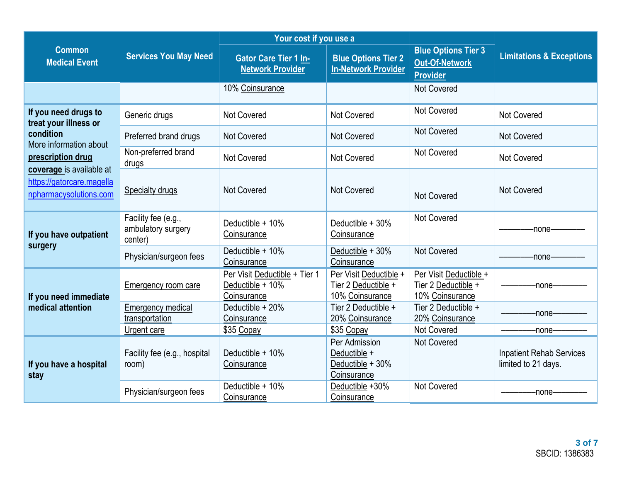|                                                                                 |                                                      | Your cost if you use a                                           |                                                                  |                                                                        |                                                        |
|---------------------------------------------------------------------------------|------------------------------------------------------|------------------------------------------------------------------|------------------------------------------------------------------|------------------------------------------------------------------------|--------------------------------------------------------|
| <b>Common</b><br><b>Medical Event</b>                                           | <b>Services You May Need</b>                         | <b>Gator Care Tier 1 In-</b><br><b>Network Provider</b>          | <b>Blue Options Tier 2</b><br><b>In-Network Provider</b>         | <b>Blue Options Tier 3</b><br><b>Out-Of-Network</b><br><b>Provider</b> | <b>Limitations &amp; Exceptions</b>                    |
|                                                                                 |                                                      | 10% Coinsurance                                                  |                                                                  | <b>Not Covered</b>                                                     |                                                        |
| If you need drugs to<br>treat your illness or                                   | Generic drugs                                        | <b>Not Covered</b>                                               | <b>Not Covered</b>                                               | <b>Not Covered</b>                                                     | <b>Not Covered</b>                                     |
| condition<br>More information about                                             | Preferred brand drugs                                | <b>Not Covered</b>                                               | <b>Not Covered</b>                                               | <b>Not Covered</b>                                                     | <b>Not Covered</b>                                     |
| prescription drug                                                               | Non-preferred brand<br>drugs                         | Not Covered                                                      | <b>Not Covered</b>                                               | <b>Not Covered</b>                                                     | <b>Not Covered</b>                                     |
| coverage is available at<br>https://gatorcare.magella<br>npharmacysolutions.com | <b>Specialty drugs</b>                               | <b>Not Covered</b>                                               | <b>Not Covered</b>                                               | <b>Not Covered</b>                                                     | <b>Not Covered</b>                                     |
| If you have outpatient<br>surgery                                               | Facility fee (e.g.,<br>ambulatory surgery<br>center) | Deductible + 10%<br><b>Coinsurance</b>                           | Deductible + 30%<br>Coinsurance                                  | Not Covered                                                            | -none-                                                 |
|                                                                                 | Physician/surgeon fees                               | Deductible + 10%<br>Coinsurance                                  | Deductible + 30%<br>Coinsurance                                  | Not Covered                                                            | -none-                                                 |
| If you need immediate<br>medical attention                                      | <b>Emergency room care</b>                           | Per Visit Deductible + Tier 1<br>Deductible + 10%<br>Coinsurance | Per Visit Deductible +<br>Tier 2 Deductible +<br>10% Coinsurance | Per Visit Deductible +<br>Tier 2 Deductible +<br>10% Coinsurance       | -none-                                                 |
|                                                                                 | <b>Emergency medical</b><br>transportation           | Deductible + 20%<br>Coinsurance                                  | Tier 2 Deductible +<br>20% Coinsurance                           | Tier 2 Deductible +<br>20% Coinsurance                                 | -none-                                                 |
|                                                                                 | Urgent care                                          | \$35 Copay                                                       | \$35 Copay                                                       | <b>Not Covered</b>                                                     | -none-                                                 |
| If you have a hospital<br>stay                                                  | Facility fee (e.g., hospital<br>room)                | Deductible + 10%<br>Coinsurance                                  | Per Admission<br>Deductible +<br>Deductible + 30%<br>Coinsurance | Not Covered                                                            | <b>Inpatient Rehab Services</b><br>limited to 21 days. |
|                                                                                 | Physician/surgeon fees                               | Deductible + 10%<br>Coinsurance                                  | Deductible +30%<br>Coinsurance                                   | <b>Not Covered</b>                                                     | -none-                                                 |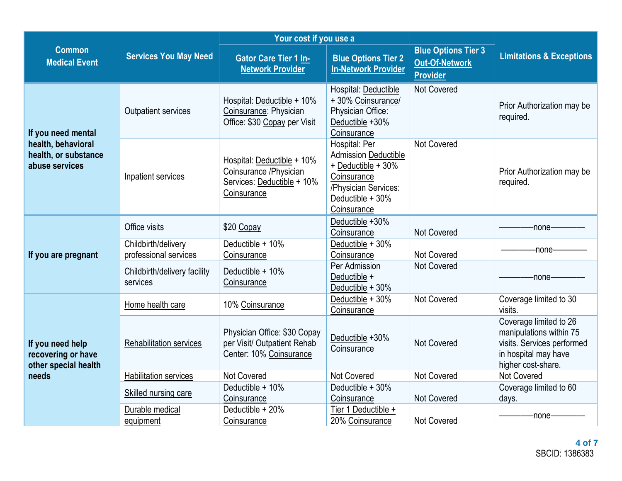|                                                                                    |                                              | Your cost if you use a                                                                             |                                                                                                                                              |                                                                        |                                                                                                                               |
|------------------------------------------------------------------------------------|----------------------------------------------|----------------------------------------------------------------------------------------------------|----------------------------------------------------------------------------------------------------------------------------------------------|------------------------------------------------------------------------|-------------------------------------------------------------------------------------------------------------------------------|
| <b>Common</b><br><b>Medical Event</b>                                              | <b>Services You May Need</b>                 | Gator Care Tier 1 In-<br><b>Network Provider</b>                                                   | <b>Blue Options Tier 2</b><br><b>In-Network Provider</b>                                                                                     | <b>Blue Options Tier 3</b><br><b>Out-Of-Network</b><br><b>Provider</b> | <b>Limitations &amp; Exceptions</b>                                                                                           |
| If you need mental<br>health, behavioral<br>health, or substance<br>abuse services | <b>Outpatient services</b>                   | Hospital: Deductible + 10%<br>Coinsurance: Physician<br>Office: \$30 Copay per Visit               | Hospital: Deductible<br>+30% Coinsurance/<br>Physician Office:<br>Deductible +30%<br>Coinsurance                                             | Not Covered                                                            | Prior Authorization may be<br>required.                                                                                       |
|                                                                                    | Inpatient services                           | Hospital: Deductible + 10%<br>Coinsurance / Physician<br>Services: Deductible + 10%<br>Coinsurance | Hospital: Per<br><b>Admission Deductible</b><br>+ Deductible + 30%<br>Coinsurance<br>/Physician Services:<br>Deductible + 30%<br>Coinsurance | <b>Not Covered</b>                                                     | Prior Authorization may be<br>required.                                                                                       |
|                                                                                    | Office visits                                | \$20 Copay                                                                                         | Deductible +30%<br>Coinsurance                                                                                                               | Not Covered                                                            | -none-                                                                                                                        |
| If you are pregnant                                                                | Childbirth/delivery<br>professional services | Deductible + 10%<br>Coinsurance                                                                    | Deductible + 30%<br>Coinsurance                                                                                                              | Not Covered                                                            | -none-                                                                                                                        |
|                                                                                    | Childbirth/delivery facility<br>services     | Deductible $+10%$<br>Coinsurance                                                                   | Per Admission<br>Deductible +<br>Deductible + 30%                                                                                            | Not Covered                                                            | -none-                                                                                                                        |
| If you need help<br>recovering or have<br>other special health<br>needs            | Home health care                             | 10% Coinsurance                                                                                    | Deductible + 30%<br>Coinsurance                                                                                                              | Not Covered                                                            | Coverage limited to 30<br>visits.                                                                                             |
|                                                                                    | <b>Rehabilitation services</b>               | Physician Office: \$30 Copay<br>per Visit/ Outpatient Rehab<br>Center: 10% Coinsurance             | Deductible +30%<br>Coinsurance                                                                                                               | <b>Not Covered</b>                                                     | Coverage limited to 26<br>manipulations within 75<br>visits. Services performed<br>in hospital may have<br>higher cost-share. |
|                                                                                    | <b>Habilitation services</b>                 | Not Covered                                                                                        | <b>Not Covered</b>                                                                                                                           | <b>Not Covered</b>                                                     | Not Covered                                                                                                                   |
|                                                                                    | Skilled nursing care                         | Deductible + 10%<br>Coinsurance                                                                    | Deductible + 30%<br>Coinsurance                                                                                                              | <b>Not Covered</b>                                                     | Coverage limited to 60<br>days.                                                                                               |
|                                                                                    | Durable medical<br>equipment                 | Deductible + 20%<br>Coinsurance                                                                    | Tier 1 Deductible +<br>20% Coinsurance                                                                                                       | Not Covered                                                            | -none-                                                                                                                        |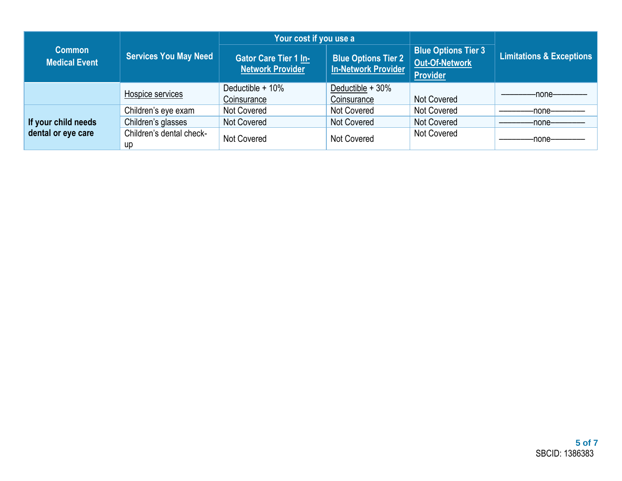|                                |                                | Your cost if you use a                                  |                                                          |                                                                        |                                     |
|--------------------------------|--------------------------------|---------------------------------------------------------|----------------------------------------------------------|------------------------------------------------------------------------|-------------------------------------|
| Common<br><b>Medical Event</b> | <b>Services You May Need</b>   | <b>Gator Care Tier 1 In-</b><br><b>Network Provider</b> | <b>Blue Options Tier 2</b><br><b>In-Network Provider</b> | <b>Blue Options Tier 3</b><br><b>Out-Of-Network</b><br><b>Provider</b> | <b>Limitations &amp; Exceptions</b> |
|                                | Hospice services               | Deductible + 10%<br>Coinsurance                         | Deductible + 30%<br>Coinsurance                          | Not Covered                                                            | none                                |
|                                | Children's eye exam            | Not Covered                                             | Not Covered                                              | Not Covered                                                            | -none                               |
| If your child needs            | Children's glasses             | Not Covered                                             | Not Covered                                              | Not Covered                                                            | -none-                              |
| dental or eye care             | Children's dental check-<br>up | Not Covered                                             | Not Covered                                              | Not Covered                                                            | none-                               |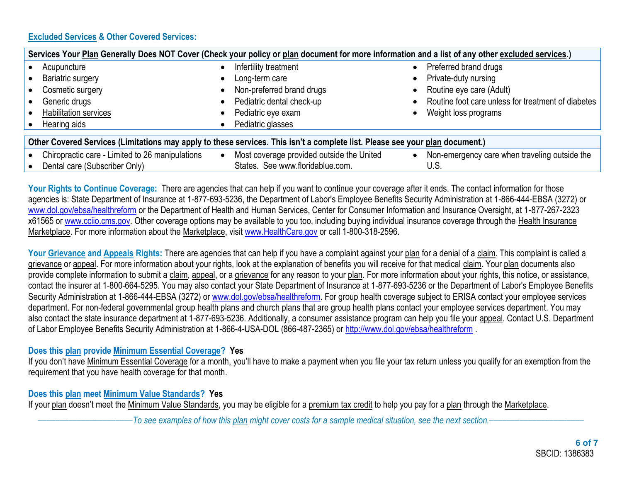### **Excluded Services & Other Covered Services:**

• Dental care (Subscriber Only)

| Services Your Plan Generally Does NOT Cover (Check your policy or plan document for more information and a list of any other excluded services.) |                                           |                                                    |  |  |
|--------------------------------------------------------------------------------------------------------------------------------------------------|-------------------------------------------|----------------------------------------------------|--|--|
| Acupuncture                                                                                                                                      | Infertility treatment                     | Preferred brand drugs                              |  |  |
| <b>Bariatric surgery</b>                                                                                                                         | Long-term care                            | Private-duty nursing                               |  |  |
| Cosmetic surgery                                                                                                                                 | Non-preferred brand drugs                 | Routine eye care (Adult)                           |  |  |
| Generic drugs                                                                                                                                    | Pediatric dental check-up                 | Routine foot care unless for treatment of diabetes |  |  |
| Habilitation services                                                                                                                            | Pediatric eye exam                        | Weight loss programs                               |  |  |
| Hearing aids                                                                                                                                     | Pediatric glasses                         |                                                    |  |  |
| Other Covered Services (Limitations may apply to these services. This isn't a complete list. Please see your plan document.)                     |                                           |                                                    |  |  |
|                                                                                                                                                  |                                           |                                                    |  |  |
| Chiropractic care - Limited to 26 manipulations                                                                                                  | Most coverage provided outside the United | Non-emergency care when traveling outside the      |  |  |

U.S.

Your Rights to Continue Coverage: There are agencies that can help if you want to continue your coverage after it ends. The contact information for those agencies is: State Department of Insurance at 1-877-693-5236, the Department of Labor's Employee Benefits Security Administration at 1-866-444-EBSA (3272) or [www.dol.gov/ebsa/healthreform](http://www.dol.gov/ebsa/healthreform) or the Department of Health and Human Services, Center for Consumer Information and Insurance Oversight, at 1-877-267-2323 x61565 or [www.cciio.cms.gov.](http://www.cciio.cms.gov/) Other coverage options may be available to you too, including buying individual insurance coverage through the Health Insurance Marketplace. For more information about the Marketplace, visi[t www.HealthCare.gov](http://www.healthcare.gov/) or call 1-800-318-2596.

States. See www.floridablue.com.

Your Grievance and Appeals Rights: There are agencies that can help if you have a complaint against your plan for a denial of a claim. This complaint is called a grievance or appeal. For more information about your rights, look at the explanation of benefits you will receive for that medical claim. Your plan documents also provide complete information to submit a claim, appeal, or a grievance for any reason to your plan. For more information about your rights, this notice, or assistance, contact the insurer at 1-800-664-5295. You may also contact your State Department of Insurance at 1-877-693-5236 or the Department of Labor's Employee Benefits Security Administration at 1-866-444-EBSA (3272) or [www.dol.gov/ebsa/healthreform.](http://www.dol.gov/ebsa/healthreform) For group health coverage subject to ERISA contact your employee services department. For non-federal governmental group health plans and church plans that are group health plans contact your employee services department. You may also contact the state insurance department at 1-877-693-5236. Additionally, a consumer assistance program can help you file your appeal. Contact U.S. Department of Labor Employee Benefits Security Administration at 1-866-4-USA-DOL (866-487-2365) o[r http://www.dol.gov/ebsa/healthreform](http://www.dol.gov/ebsa/healthreform) .

#### **Does this plan provide Minimum Essential Coverage? Yes**

If you don't have Minimum Essential Coverage for a month, you'll have to make a payment when you file your tax return unless you qualify for an exemption from the requirement that you have health coverage for that month.

#### **Does this plan meet Minimum Value Standards? Yes**

If your plan doesn't meet the Minimum Value Standards, you may be eligible for a premium tax credit to help you pay for a plan through the Marketplace.

––––––––––––––––––––––*To see examples of how this plan might cover costs for a sample medical situation, see the next section.–––––––––––*–––––––––––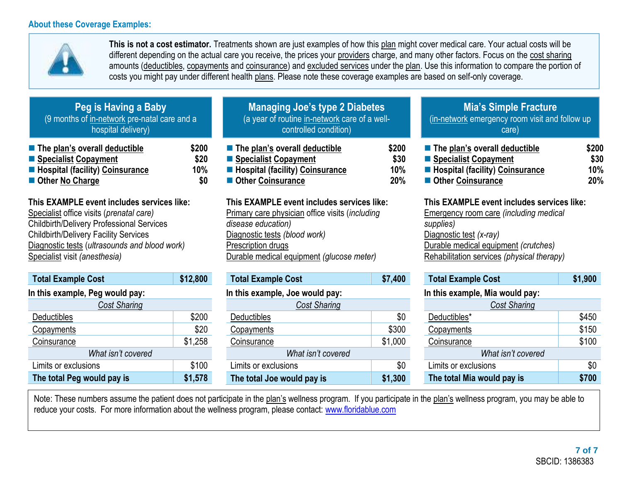#### **About these Coverage Examples:**



**This is not a cost estimator.** Treatments shown are just examples of how this plan might cover medical care. Your actual costs will be different depending on the actual care you receive, the prices your providers charge, and many other factors. Focus on the cost sharing amounts (deductibles, copayments and coinsurance) and excluded services under the plan. Use this information to compare the portion of costs you might pay under different health plans. Please note these coverage examples are based on self-only coverage.

| Peg is Having a Baby                         |  |  |  |
|----------------------------------------------|--|--|--|
| (9 months of in-network pre-natal care and a |  |  |  |
| hospital delivery)                           |  |  |  |

| $\blacksquare$ The plan's overall deductible | \$200 |
|----------------------------------------------|-------|
| ■ Specialist Copayment                       | \$20  |
| <b>E</b> Hospital (facility) Coinsurance     | 10%   |
| ■ Other No Charge                            | \$0   |

**This EXAMPLE event includes services like:**  Specialist office visits (*prenatal care)* Childbirth/Delivery Professional Services Childbirth/Delivery Facility Services Diagnostic tests (*ultrasounds and blood work)* Specialist visit *(anesthesia)* 

| <b>Total Example Cost</b>       | \$12,800 |  |  |
|---------------------------------|----------|--|--|
| In this example, Peg would pay: |          |  |  |
| <b>Cost Sharing</b>             |          |  |  |
| <b>Deductibles</b>              | \$200    |  |  |
| Copayments                      | \$20     |  |  |
| Coinsurance                     | \$1,258  |  |  |
| What isn't covered              |          |  |  |
| Limits or exclusions            | \$100    |  |  |
| The total Peg would pay is      | \$1,578  |  |  |

| <b>Managing Joe's type 2 Diabetes</b>         |       |
|-----------------------------------------------|-------|
| (a year of routine in-network care of a well- |       |
| controlled condition)                         |       |
| ■ The plan's overall deductible               | \$200 |
| ■ Specialist Copayment                        | \$30  |

■ Hospital (facility) Coinsurance **10%** ■ Other Coinsurance **20%** 

## **This EXAMPLE event includes services like:**

Primary care physician office visits (*including disease education)* Diagnostic tests *(blood work)* Prescription drugs Durable medical equipment *(glucose meter)* 

| <b>Total Example Cost</b>       | \$7,400 |  |  |
|---------------------------------|---------|--|--|
| In this example, Joe would pay: |         |  |  |
| <b>Cost Sharing</b>             |         |  |  |
| Deductibles                     | \$0     |  |  |
| Copayments                      | \$300   |  |  |
| Coinsurance                     | \$1,000 |  |  |
| What isn't covered              |         |  |  |
| Limits or exclusions            | \$0     |  |  |
| The total Joe would pay is      | \$1,300 |  |  |

# **Mia's Simple Fracture**

(in-network emergency room visit and follow up care)

| The plan's overall deductible            | \$200 |
|------------------------------------------|-------|
| ■ Specialist Copayment                   | \$30  |
| <b>E</b> Hospital (facility) Coinsurance | 10%   |
| ■ Other Coinsurance                      | 20%   |

#### **This EXAMPLE event includes services like:**

Emergency room care *(including medical supplies)* Diagnostic test *(x-ray)* Durable medical equipment *(crutches)* Rehabilitation services *(physical therapy)*

| <b>Total Example Cost</b>       | \$1,900 |
|---------------------------------|---------|
| In this example, Mia would pay: |         |
| $\sim$ $\sim$                   |         |

| <b>Cost Sharing</b>        |       |
|----------------------------|-------|
| Deductibles*               | \$450 |
| Copayments                 | \$150 |
| Coinsurance                | \$100 |
| What isn't covered         |       |
| Limits or exclusions       | \$0   |
| The total Mia would pay is | \$700 |

Note: These numbers assume the patient does not participate in the plan's wellness program. If you participate in the plan's wellness program, you may be able to reduce your costs. For more information about the wellness program, please contact: [www.floridablue.com](http://www.floridablue.com/)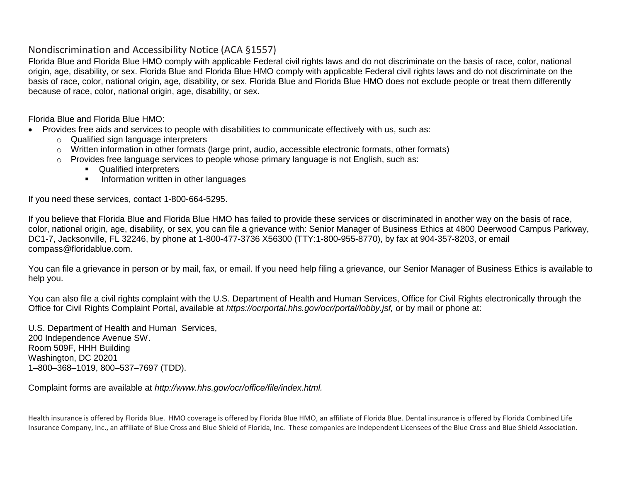# Nondiscrimination and Accessibility Notice (ACA §1557)

Florida Blue and Florida Blue HMO comply with applicable Federal civil rights laws and do not discriminate on the basis of race, color, national origin, age, disability, or sex. Florida Blue and Florida Blue HMO comply with applicable Federal civil rights laws and do not discriminate on the basis of race, color, national origin, age, disability, or sex. Florida Blue and Florida Blue HMO does not exclude people or treat them differently because of race, color, national origin, age, disability, or sex.

Florida Blue and Florida Blue HMO:

- Provides free aids and services to people with disabilities to communicate effectively with us, such as:
	- o Qualified sign language interpreters
	- o Written information in other formats (large print, audio, accessible electronic formats, other formats)
	- o Provides free language services to people whose primary language is not English, such as:
		- Qualified interpreters
		- **■** Information written in other languages

If you need these services, contact 1-800-664-5295.

If you believe that Florida Blue and Florida Blue HMO has failed to provide these services or discriminated in another way on the basis of race, color, national origin, age, disability, or sex, you can file a grievance with: Senior Manager of Business Ethics at 4800 Deerwood Campus Parkway, DC1-7, Jacksonville, FL 32246, by phone at 1-800-477-3736 X56300 (TTY:1-800-955-8770), by fax at 904-357-8203, or email compass@floridablue.com.

You can file a grievance in person or by mail, fax, or email. If you need help filing a grievance, our Senior Manager of Business Ethics is available to help you.

You can also file a civil rights complaint with the U.S. Department of Health and Human Services, Office for Civil Rights electronically through the Office for Civil Rights Complaint Portal, available at *https://ocrportal.hhs.gov/ocr/portal/lobby.jsf,* or by mail or phone at:

U.S. Department of Health and Human Services, 200 Independence Avenue SW. Room 509F, HHH Building Washington, DC 20201 1–800–368–1019, 800–537–7697 (TDD).

Complaint forms are available at *http://www.hhs.gov/ocr/office/file/index.html.*

Health insurance is offered by Florida Blue. HMO coverage is offered by Florida Blue HMO, an affiliate of Florida Blue. Dental insurance is offered by Florida Combined Life Insurance Company, Inc., an affiliate of Blue Cross and Blue Shield of Florida, Inc. These companies are Independent Licensees of the Blue Cross and Blue Shield Association.